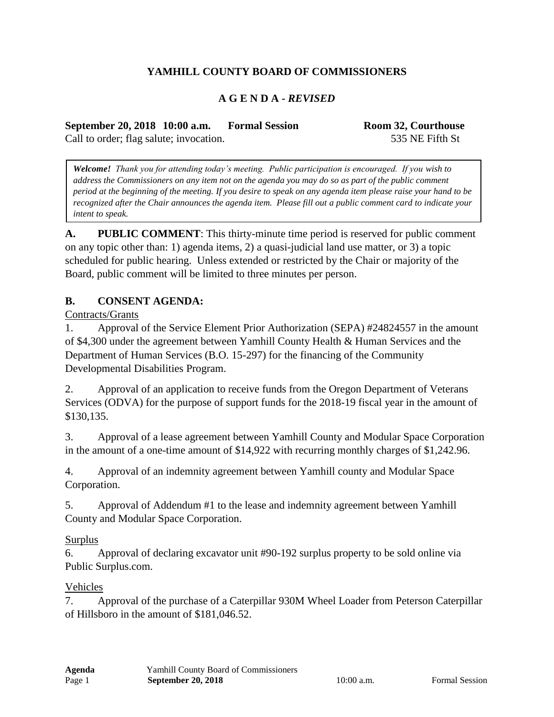## **YAMHILL COUNTY BOARD OF COMMISSIONERS**

### **A G E N D A -** *REVISED*

**September 20, 2018 10:00 a.m. Formal Session Room 32, Courthouse** Call to order; flag salute; invocation. 535 NE Fifth St

*Welcome! Thank you for attending today's meeting. Public participation is encouraged. If you wish to address the Commissioners on any item not on the agenda you may do so as part of the public comment period at the beginning of the meeting. If you desire to speak on any agenda item please raise your hand to be recognized after the Chair announces the agenda item. Please fill out a public comment card to indicate your intent to speak.*

**A. PUBLIC COMMENT**: This thirty-minute time period is reserved for public comment on any topic other than: 1) agenda items, 2) a quasi-judicial land use matter, or 3) a topic scheduled for public hearing. Unless extended or restricted by the Chair or majority of the Board, public comment will be limited to three minutes per person.

### **B. CONSENT AGENDA:**

Contracts/Grants

1. Approval of the Service Element Prior Authorization (SEPA) #24824557 in the amount of \$4,300 under the agreement between Yamhill County Health & Human Services and the Department of Human Services (B.O. 15-297) for the financing of the Community Developmental Disabilities Program.

2. Approval of an application to receive funds from the Oregon Department of Veterans Services (ODVA) for the purpose of support funds for the 2018-19 fiscal year in the amount of \$130,135.

3. Approval of a lease agreement between Yamhill County and Modular Space Corporation in the amount of a one-time amount of \$14,922 with recurring monthly charges of \$1,242.96.

4. Approval of an indemnity agreement between Yamhill county and Modular Space Corporation.

5. Approval of Addendum #1 to the lease and indemnity agreement between Yamhill County and Modular Space Corporation.

#### Surplus

6. Approval of declaring excavator unit #90-192 surplus property to be sold online via Public Surplus.com.

#### Vehicles

7. Approval of the purchase of a Caterpillar 930M Wheel Loader from Peterson Caterpillar of Hillsboro in the amount of \$181,046.52.